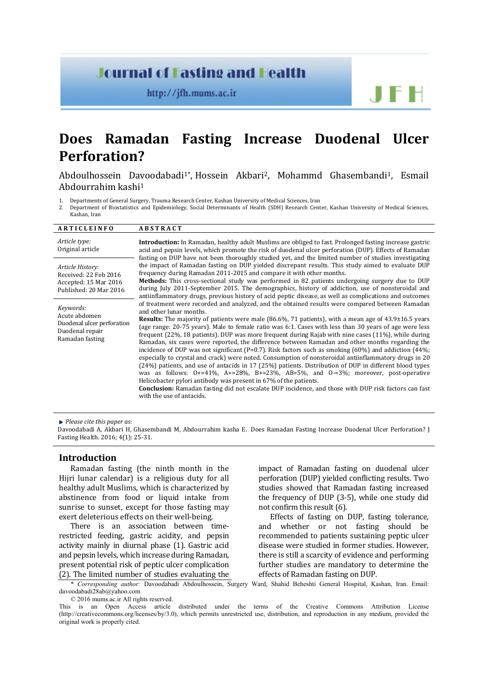## **Journal of Fasting and Health**

http://jfh.mums.ac.ir

# **Does Ramadan Fasting Increase Duodenal Ulcer Perforation?**

Abdoulhossein Davoodabadi1\*, Hossein Akbari2, Mohammd Ghasembandi1, Esmail Abdourrahim kashi1

1. Departments of General Surgery, Trauma Research Center, Kashan University of Medical Sciences, Iran 2. Department of Biostatistics and Enidemiology Social Determinants of Health (SDH) Research Cent

2. Department of Biostatistics and Epidemiology, Social Determinants of Health (SDH) Research Center, Kashan University of Medical Sciences,

Kashan, Iran

| <b>ARTICLEINFO</b>                                                                             | <b>ABSTRACT</b>                                                                                                                                                                                                                                                                                                                                                                                                                                                                                                                                                                                                                                                                                                                                                                                                                                                                                                                                                                                                                                                                                                                                                                                                                               |  |  |  |
|------------------------------------------------------------------------------------------------|-----------------------------------------------------------------------------------------------------------------------------------------------------------------------------------------------------------------------------------------------------------------------------------------------------------------------------------------------------------------------------------------------------------------------------------------------------------------------------------------------------------------------------------------------------------------------------------------------------------------------------------------------------------------------------------------------------------------------------------------------------------------------------------------------------------------------------------------------------------------------------------------------------------------------------------------------------------------------------------------------------------------------------------------------------------------------------------------------------------------------------------------------------------------------------------------------------------------------------------------------|--|--|--|
| Article type:<br>Original article                                                              | <b>Introduction:</b> In Ramadan, healthy adult Muslims are obliged to fast. Prolonged fasting increase gastric<br>acid and pepsin levels, which promote the risk of duodenal ulcer perforation (DUP). Effects of Ramadan<br>fasting on DUP have not been thoroughly studied yet, and the limited number of studies investigating                                                                                                                                                                                                                                                                                                                                                                                                                                                                                                                                                                                                                                                                                                                                                                                                                                                                                                              |  |  |  |
| Article History:<br>Received: 22 Feb 2016<br>Accepted: 15 Mar 2016<br>Published: 20 Mar 2016   | the impact of Ramadan fasting on DUP yielded discrepant results. This study aimed to evaluate DUP<br>frequency during Ramadan 2011-2015 and compare it with other months.<br>Methods: This cross-sectional study was performed in 82 patients undergoing surgery due to DUP<br>during July 2011-September 2015. The demographics, history of addiction, use of nonsteroidal and<br>antiinflammatory drugs, previous history of acid peptic disease, as well as complications and outcomes                                                                                                                                                                                                                                                                                                                                                                                                                                                                                                                                                                                                                                                                                                                                                     |  |  |  |
| Keywords:<br>Acute abdomen<br>Duodenal ulcer perforation<br>Duodenal repair<br>Ramadan fasting | of treatment were recorded and analyzed, and the obtained results were compared between Ramadan<br>and other lunar months.<br><b>Results:</b> The majority of patients were male $(86.6\%, 71 \text{ patients})$ , with a mean age of $43.9\pm16.5 \text{ years}$<br>(age range: 20-75 years). Male to female ratio was 6:1. Cases with less than 30 years of age were less<br>frequent (22%, 18 patients). DUP was more frequent during Rajab with nine cases (11%), while during<br>Ramadan, six cases were reported, the difference between Ramadan and other months regarding the<br>incidence of DUP was not significant (P=0.7). Risk factors such as smoking $(60%)$ and addiction $(44%)$ ;<br>especially to crystal and crack) were noted. Consumption of nonsteroidal antiinflammatory drugs in 20<br>(24%) patients, and use of antacids in 17 (25%) patients. Distribution of DUP in different blood types<br>was as follows: $0+241\%$ , $A+28\%$ , $B+23\%$ , $AB=5\%$ , and $0-3\%$ ; moreover, post-operative<br>Helicobacter pylori antibody was present in 67% of the patients.<br><b>Conclusion:</b> Ramadan fasting did not escalate DUP incidence, and those with DUP risk factors can fast<br>with the use of antacids. |  |  |  |

*Please cite this paper as*:

Davoodabadi A, Akbari H, Ghasembandi M, Abdourrahim kasha E. Does Ramadan Fasting Increase Duodenal Ulcer Perforation? J Fasting Health. 2016; 4(1): 25-31.

## **Introduction**

Ramadan fasting (the ninth month in the Hijri lunar calendar) is a religious duty for all healthy adult Muslims, which is characterized by abstinence from food or liquid intake from sunrise to sunset, except for those fasting may exert deleterious effects on their well-being.

There is an association between timerestricted feeding, gastric acidity, and pepsin activity mainly in diurnal phase (1). Gastric acid and pepsin levels, which increase during Ramadan, present potential risk of peptic ulcer complication [\(2\)](http://www.nature.com/ajg/journal/v97/n9/full/ajg2002624a.html%23bib5). The limited number of studies evaluating the

impact of Ramadan fasting on duodenal ulcer perforation (DUP) yielded conflicting results. Two studies showed that Ramadan fasting increased the frequency of DUP (3-5), while one study did not confirm this result (6).

JFH

Effects of fasting on DUP, fasting tolerance,<br>d whether or not fasting should be and whether or not fasting should recommended to patients sustaining peptic ulcer disease were studied in former studies. However, there is still a scarcity of evidence and performing further studies are mandatory to determine the effects of Ramadan fasting on DUP.

\* *Corresponding author:* Davoodabadi Abdoulhossein, Surgery Ward, Shahid Beheshti General Hospital, Kashan, Iran. Email: [davoodabadi28ab@yahoo.com](mailto:davoodabadi28ab@yahoo.com)

© 2016 mums.ac.ir All rights reserved.

This is an Open Access article distributed under the terms of the Creative Commons Attribution License (http://creativecommons.org/licenses/by/3.0), which permits unrestricted use, distribution, and reproduction in any medium, provided the original work is properly cited.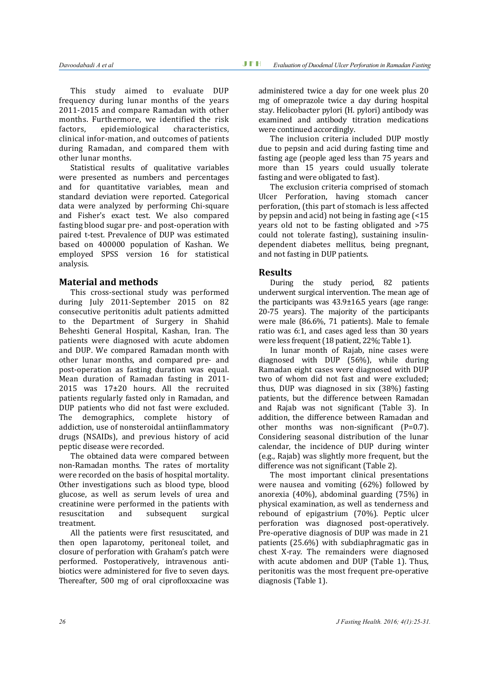This study aimed to evaluate DUP frequency during lunar months of the years 2011-2015 and compare Ramadan with other months. Furthermore, we identified the risk<br>factors. epidemiological characteristics. epidemiological clinical infor-mation, and outcomes of patients during Ramadan, and compared them with other lunar months.

Statistical results of qualitative variables were presented as numbers and percentages and for quantitative variables, mean and standard deviation were reported. Categorical data were analyzed by performing Chi-square and Fisher's exact test. We also compared fasting blood sugar pre- and post-operation with paired t-test. Prevalence of DUP was estimated based on 400000 population of Kashan. We employed SPSS version 16 for statistical analysis.

## **Material and methods**

This cross-sectional study was performed during July 2011-September 2015 on 82 consecutive peritonitis adult patients admitted to the Department of Surgery in Shahid Beheshti General Hospital, Kashan, Iran. The patients were diagnosed with acute abdomen and DUP. We compared Ramadan month with other lunar months, and compared pre- and post-operation as fasting duration was equal. Mean duration of Ramadan fasting in 2011- 2015 was 17±20 hours. All the recruited patients regularly fasted only in Ramadan, and DUP patients who did not fast were excluded. The demographics, complete history of addiction, use of nonsteroidal antiinflammatory drugs (NSAIDs), and previous history of acid peptic disease were recorded.

The obtained data were compared between non-Ramadan months. The rates of mortality were recorded on the basis of hospital mortality. Other investigations such as blood type, blood glucose, as well as serum levels of urea and creatinine were performed in the patients with<br>resuscitation and subsequent surgical subsequent treatment.

All the patients were first resuscitated, and then open laparotomy, peritoneal toilet, and closure of perforation with Graham's patch were performed. Postoperatively, intravenous antibiotics were administered for five to seven days. Thereafter, 500 mg of oral ciprofloxxacine was

administered twice a day for one week plus 20 mg of omeprazole twice a day during hospital stay. Helicobacter pylori (H. pylori) antibody was examined and antibody titration medications were continued accordingly.

The inclusion criteria included DUP mostly due to pepsin and acid during fasting time and fasting age (people aged less than 75 years and more than 15 years could usually tolerate fasting and were obligated to fast).

The exclusion criteria comprised of stomach Ulcer Perforation, having stomach cancer perforation, (this part of stomach is less affected by pepsin and acid) not being in fasting age (<15 years old not to be fasting obligated and >75 could not tolerate fasting), sustaining insulindependent diabetes mellitus, being pregnant, and not fasting in DUP patients.

## **Results**

During the study period, 82 patients underwent surgical intervention. The mean age of the participants was 43.9±16.5 years (age range: 20-75 years). The majority of the participants were male (86.6%, 71 patients). Male to female ratio was 6:1, and cases aged less than 30 years were less frequent (18 patient, 22%; Table 1).

In lunar month of Rajab, nine cases were diagnosed with DUP (56%), while during Ramadan eight cases were diagnosed with DUP two of whom did not fast and were excluded; thus, DUP was diagnosed in six (38%) fasting patients, but the difference between Ramadan and Rajab was not significant (Table 3). In addition, the difference between Ramadan and other months was non-significant (P=0.7). Considering seasonal distribution of the lunar calendar, the incidence of DUP during winter (e.g., Rajab) was slightly more frequent, but the difference was not significant (Table 2).

The most important clinical presentations were nausea and vomiting (62%) followed by anorexia (40%), abdominal guarding (75%) in physical examination, as well as tenderness and rebound of epigastrium (70%). Peptic ulcer perforation was diagnosed post-operatively. Pre-operative diagnosis of DUP was made in 21 patients (25.6%) with subdiaphragmatic gas in chest X-ray. The remainders were diagnosed with acute abdomen and DUP (Table 1). Thus, peritonitis was the most frequent pre-operative diagnosis (Table 1).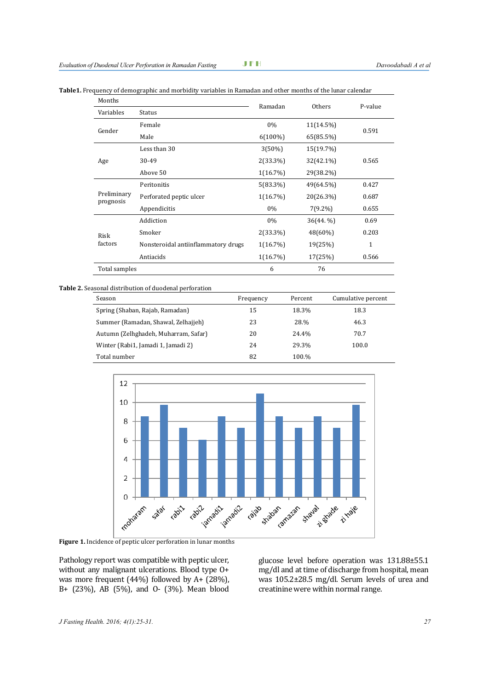|  |  |  |  |  |  | Table1. Frequency of demographic and morbidity variables in Ramadan and other months of the lunar calendar |  |
|--|--|--|--|--|--|------------------------------------------------------------------------------------------------------------|--|
|--|--|--|--|--|--|------------------------------------------------------------------------------------------------------------|--|

| Months                     |                                     | Ramadan     | Others     | P-value |  |
|----------------------------|-------------------------------------|-------------|------------|---------|--|
| Variables<br><b>Status</b> |                                     |             |            |         |  |
|                            | Female                              | 0%          | 11(14.5%)  | 0.591   |  |
| Gender                     | Male                                | $6(100\%)$  | 65(85.5%)  |         |  |
|                            | Less than 30                        | $3(50\%)$   | 15(19.7%)  |         |  |
| Age                        | 30-49                               | $2(33.3\%)$ | 32(42.1%)  | 0.565   |  |
|                            | Above 50                            | $1(16.7\%)$ | 29(38.2%)  |         |  |
|                            | Peritonitis                         | $5(83.3\%)$ | 49(64.5%)  | 0.427   |  |
| Preliminary<br>prognosis   | Perforated peptic ulcer             | $1(16.7\%)$ | 20(26.3%)  | 0.687   |  |
|                            | Appendicitis                        | $0\%$       | $7(9.2\%)$ | 0.655   |  |
|                            | Addiction                           | 0%          | 36(44. %)  | 0.69    |  |
| Risk<br>factors            | Smoker                              | $2(33.3\%)$ | 48(60%)    | 0.203   |  |
|                            | Nonsteroidal antiinflammatory drugs | $1(16.7\%)$ | 19(25%)    | 1       |  |
|                            | Antiacids                           | $1(16.7\%)$ | 17(25%)    | 0.566   |  |
| Total samples              |                                     | 6           | 76         |         |  |

#### **Table 2.** Seasonal distribution of duodenal perforation

| Season                               | Frequency | Percent | Cumulative percent |
|--------------------------------------|-----------|---------|--------------------|
| Spring (Shaban, Rajab, Ramadan)      | 15        | 18.3%   | 18.3               |
| Summer (Ramadan, Shawal, Zelhajjeh)  | 23        | 28.%    | 46.3               |
| Autumn (Zelhghadeh, Muharram, Safar) | 20        | 24.4%   | 70.7               |
| Winter (Rabi1, Jamadi 1, Jamadi 2)   | 24        | 29.3%   | 100.0              |
| Total number                         | 82        | 100.%   |                    |



**Figure 1.** Incidence of peptic ulcer perforation in lunar months

Pathology report was compatible with peptic ulcer, without any malignant ulcerations. Blood type O+ was more frequent (44%) followed by A+ (28%), B+ (23%), AB (5%), and O- (3%). Mean blood

glucose level before operation was 131.88±55.1 mg/dl and at time of discharge from hospital, mean was 105.2±28.5 mg/dl. Serum levels of urea and creatinine were within normal range.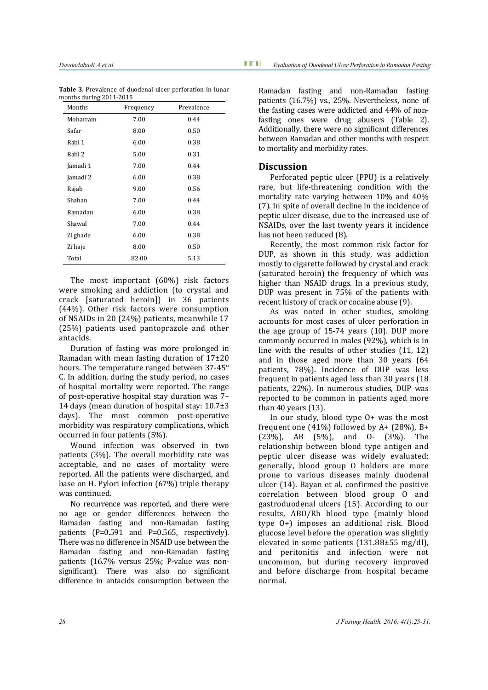| Months   | Frequency | Prevalence |
|----------|-----------|------------|
| Moharram | 7.00      | 0.44       |
| Safar    | 8.00      | 0.50       |
| Rabi 1   | 6.00      | 0.38       |
| Rabi 2   | 5.00      | 0.31       |
| Jamadi 1 | 7.00      | 0.44       |
| Jamadi 2 | 6.00      | 0.38       |
| Rajab    | 9.00      | 0.56       |
| Shaban   | 7.00      | 0.44       |
| Ramadan  | 6.00      | 0.38       |
| Shawal   | 7.00      | 0.44       |
| Zi ghade | 6.00      | 0.38       |
| Zi haje  | 8.00      | 0.50       |
| Total    | 82.00     | 5.13       |

**Table 3**. Prevalence of duodenal ulcer perforation in lunar months during 2011-2015

The most important (60%) risk factors were smoking and addiction (to crystal and crack [saturated heroin]) in 36 patients (44%). Other risk factors were consumption of NSAIDs in 20 (24%) patients, meanwhile 17 (25%) patients used pantoprazole and other antacids.

Duration of fasting was more prolonged in Ramadan with mean fasting duration of 17±20 hours. The temperature ranged between 37-45° C. In addition, during the study period, no cases of hospital mortality were reported. The range of post-operative hospital stay duration was 7– 14 days (mean duration of hospital stay: 10.7±3 days). The most common post-operative morbidity was respiratory complications, which occurred in four patients (5%).

Wound infection was observed in two patients (3%). The overall morbidity rate was acceptable, and no cases of mortality were reported. All the patients were discharged, and base on H. Pylori infection (67%) triple therapy was continued.

No recurrence was reported, and there were no age or gender differences between the Ramadan fasting and non-Ramadan fasting patients (P=0.591 and P=0.565, respectively). There was no difference in NSAID use between the Ramadan fasting and non-Ramadan fasting patients (16.7% versus 25%; P-value was nonsignificant). There was also no significant difference in antacids consumption between the

Ramadan fasting and non-Ramadan fasting patients (16.7%) vs., 25%. Nevertheless, none of the fasting cases were addicted and 44% of nonfasting ones were drug abusers (Table 2). Additionally, there were no significant differences between Ramadan and other months with respect to mortality and morbidity rates.

## **Discussion**

Perforated peptic ulcer (PPU) is a relatively rare, but life-threatening condition with the mortality rate varying between 10% and 40% (7). In spite of overall decline in the incidence of peptic ulcer disease, due to the increased use of NSAIDs, over the last twenty years it incidence has not been reduced (8).

Recently, the most common risk factor for DUP, as shown in this study, was addiction mostly to cigarette followed by crystal and crack (saturated heroin) the frequency of which was higher than NSAID drugs. In a previous study, DUP was present in 75% of the patients with recent history of crack or cocaine abuse (9).

As was noted in other studies, smoking accounts for most cases of ulcer perforation in the age group of 15-74 years (10). DUP more commonly occurred in males (92%), which is in line with the results of other studies (11, 12) and in those aged more than 30 years (64 patients, 78%). Incidence of DUP was less frequent in patients aged less than 30 years (18 patients, 22%). In numerous studies, DUP was reported to be common in patients aged more than 40 years (13).

In our study, blood type O+ was the most frequent one  $(41\%)$  followed by A+  $(28\%)$ , B+ (23%), AB (5%), and O- (3%). The relationship between blood type antigen and peptic ulcer disease was widely evaluated; generally, blood group O holders are more prone to various diseases mainly duodenal ulcer (14). Bayan et al. confirmed the positive correlation between blood group O and gastroduodenal ulcers (15). According to our results, ABO/Rh blood type (mainly blood type O+) imposes an additional risk. Blood glucose level before the operation was slightly elevated in some patients (131.88±55 mg/dl), and peritonitis and infection were not uncommon, but during recovery improved and before discharge from hospital became normal.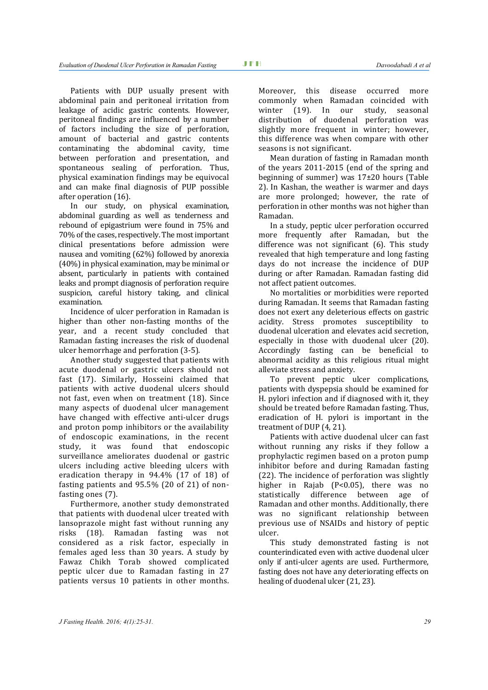Patients with DUP usually present with abdominal pain and peritoneal irritation from leakage of acidic gastric contents. However, peritoneal findings are influenced by a number of factors including the size of perforation, amount of bacterial and gastric contents contaminating the abdominal cavity, time between perforation and presentation, and spontaneous sealing of perforation. Thus, physical examination findings may be equivocal and can make final diagnosis of PUP possible after operation (16).

In our study, on physical examination, abdominal guarding as well as tenderness and rebound of epigastrium were found in 75% and 70% of the cases, respectively. The most important clinical presentations before admission were nausea and vomiting (62%) followed by anorexia (40%) in physical examination, may be minimal or absent, particularly in patients with contained leaks and prompt diagnosis of perforation require suspicion, careful history taking, and clinical examination.

Incidence of ulcer perforation in Ramadan is higher than other non-fasting months of the year, and a recent study concluded that Ramadan fasting increases the risk of duodenal ulcer hemorrhage and perforation [\(3-5\).](http://www.bioline.org.br/request?is05060%23ref9)

Another study suggested that patients with acute duodenal or gastric ulcers should not fast [\(17\).](http://www.bioline.org.br/request?is05060%23ref8) Similarly, Hosseini claimed that patients with active duodenal ulcers should not fast, even when on treatment [\(18\)](http://www.bioline.org.br/request?is05060%23ref5). Since many aspects of duodenal ulcer management have changed with effective anti-ulcer drugs and proton pomp inhibitors or the availability of endoscopic examinations, in the recent study, it was found that endoscopic surveillance ameliorates duodenal or gastric ulcers including active bleeding ulcers with eradication therapy in 94.4% (17 of 18) of fasting patients and 95.5% (20 of 21) of nonfasting ones [\(7\).](http://www.bioline.org.br/request?is05060%23ref6) 

Furthermore, another study demonstrated that patients with duodenal ulcer treated with lansoprazole might fast without running any risks (18). Ramadan fasting was not considered as a risk factor, especially in females aged less than 30 years. A study by Fawaz Chikh Torab showed complicated peptic ulcer due to Ramadan fasting in 27 patients versus 10 patients in other months.

Moreover, this disease occurred more commonly when Ramadan coincided with winter (19). In our study, seasonal distribution of duodenal perforation was slightly more frequent in winter; however, this difference was when compare with other seasons is not significant.

Mean duration of fasting in Ramadan month of the years 2011-2015 (end of the spring and beginning of summer) was 17±20 hours (Table 2). In Kashan, the weather is warmer and days are more prolonged; however, the rate of perforation in other months was not higher than Ramadan.

In a study, peptic ulcer perforation occurred more frequently after Ramadan, but the difference was not significant (6). This study revealed that high temperature and long fasting days do not increase the incidence of DUP during or after Ramadan. Ramadan fasting did not affect patient outcomes.

No mortalities or morbidities were reported during Ramadan. It seems that Ramadan fasting does not exert any deleterious effects on gastric acidity. Stress promotes susceptibility to duodenal ulceration and elevates acid secretion, especially in those with duodenal ulcer (20). Accordingly fasting can be beneficial to abnormal acidity as this religious ritual might alleviate stress and anxiety.

To prevent peptic ulcer complications, patients with dyspepsia should be examined for H. pylori infection and if diagnosed with it, they should be treated before Ramadan fasting. Thus, eradication of H. pylori is important in the treatment of DUP (4, 21).

Patients with active duodenal ulcer can fast without running any risks if they follow a prophylactic regimen based on a proton pump inhibitor before and during Ramadan fasting (22). The incidence of perforation was slightly higher in Rajab (P<0.05), there was no<br>statistically difference between age of statistically difference between Ramadan and other months. Additionally, there was no significant relationship between previous use of NSAIDs and history of peptic ulcer.

This study demonstrated fasting is not counterindicated even with active duodenal ulcer only if anti-ulcer agents are used. Furthermore, fasting does not have any deteriorating effects on healing of duodenal ulcer (21, 23).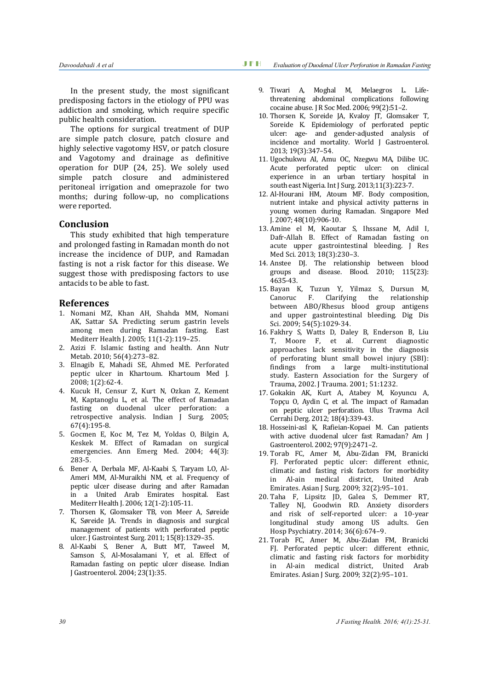In the present study, the most significant predisposing factors in the etiology of PPU was addiction and smoking, which require specific public health consideration.

The options for surgical treatment of DUP are simple patch closure, patch closure and highly selective vagotomy HSV, or patch closure and Vagotomy and drainage as definitive operation for DUP (24, 25). We solely used simple patch closure and administered peritoneal irrigation and omeprazole for two months; during follow-up, no complications were reported.

### **Conclusion**

This study exhibited that high temperature and prolonged fasting in Ramadan month do not increase the incidence of DUP, and Ramadan fasting is not a risk factor for this disease. We suggest those with predisposing factors to use antacids to be able to fast.

#### **References**

- 1. Nomani MZ, Khan AH, Shahda MM, Nomani AK, Sattar SA. Predicting serum gastrin levels among men during Ramadan fasting. East Mediterr Health J. 2005; 11(1-2):119–25.
- 2. Azizi F. Islamic fasting and health. Ann Nutr Metab. 2010; 56(4):273–82.
- 3. Elnagib E, Mahadi SE, Ahmed ME. Perforated peptic ulcer in Khartoum. Khartoum Med J. 2008; 1(2):62-4.
- 4. Kucuk H, Censur Z, Kurt N, Ozkan Z, Kement M, Kaptanoglu L, et al. The effect of Ramadan fasting on duodenal ulcer perforation: a retrospective analysis. Indian J Surg. 2005; 67(4):195-8.
- 5. Gocmen E, Koc M, Tez M, Yoldas O, Bilgin A, Keskek M. Effect of Ramadan on surgical emergencies. Ann Emerg Med. 2004; 44(3): 283-5.
- 6. Bener A, Derbala MF, Al-Kaabi S, Taryam LO, Al-Ameri MM, Al-Muraikhi NM, et al. Frequency of peptic ulcer disease during and after Ramadan in a United Arab Emirates hospital. East Mediterr Health J. 2006; 12(1-2):105-11.
- 7. Thorsen K, Glomsaker TB, von Meer A, Søreide K, Søreide JA. Trends in diagnosis and surgical management of patients with perforated peptic ulcer. J Gastrointest Surg. 2011; 15(8):1329–35.
- 8. Al-Kaabi S, Bener A, Butt MT, Taweel M, Samson S, Al-Mosalamani Y, et al. Effect of Ramadan fasting on peptic ulcer disease. Indian J Gastroenterol. 2004; 23(1):35.
- 9. Tiwari A, Moghal M, Melaegros L. Lifethreatening abdominal complications following cocaine abuse. J R Soc Med. 2006; 99(2):51–2.
- 10. Thorsen K, Soreide JA, Kvaloy JT, Glomsaker T, Soreide K. Epidemiology of perforated peptic ulcer: age- and gender-adjusted analysis of incidence and mortality. World J Gastroenterol. 2013; 19(3):347–54.
- 11. Ugochukwu AI, Amu OC, Nzegwu MA, Dilibe UC. Acute perforated peptic ulcer: on clinical experience in an urban tertiary hospital in south east Nigeria. Int J Surg. 2013;11(3):223-7.
- 12. Al-Hourani HM, Atoum MF. Body composition, nutrient intake and physical activity patterns in young women during Ramadan. Singapore Med J. 2007; 48(10):906-10.
- 13. Amine el M, Kaoutar S, Ihssane M, Adil I, Dafr-Allah B. Effect of Ramadan fasting on acute upper gastrointestinal bleeding. J Res Med Sci. 2013; 18(3):230–3.
- 14. Anstee DJ. The relationship between blood groups and disease. Blood. 2010; 115(23): 4635-43.
- 15. Bayan K, Tuzun Y, Yilmaz S, Dursun M, Canoruc F. Clarifying the relationship between ABO/Rhesus blood group antigens and upper gastrointestinal bleeding. Dig Dis Sci. 2009; 54(5):1029-34.
- 16. Fakhry S, Watts D, Daley B, Enderson B, Liu T, Moore F, et al. Current diagnostic approaches lack sensitivity in the diagnosis of perforating blunt small bowel injury (SBI): findings from a large multi-institutional study. Eastern Association for the Surgery of Trauma, 2002. J Trauma. 2001; 51:1232.
- 17. Gokakin AK, Kurt A, Atabey M, Koyuncu A, Topçu O, Aydin C, et al. The impact of Ramadan on peptic ulcer perforation. Ulus Travma Acil Cerrahi Derg. 2012; 18(4):339-43.
- 18. Hosseini-asl K, Rafieian-Kopaei M. Can patients with active duodenal ulcer fast Ramadan? Am J Gastroenterol. 2002; 97(9):2471–2.
- 19. Torab FC, Amer M, Abu-Zidan FM, Branicki FJ. Perforated peptic ulcer: different ethnic, climatic and fasting risk factors for morbidity in Al-ain medical district, United Arab Emirates. Asian J Surg. 2009; 32(2):95–101.
- 20. Taha F, Lipsitz JD, Galea S, Demmer RT, Talley NJ, Goodwin RD. Anxiety disorders and risk of self-reported ulcer: a 10-year longitudinal study among US adults. Gen Hosp Psychiatry. 2014; 36(6):674–9.
- 21. Torab FC, Amer M, Abu-Zidan FM, Branicki FJ. Perforated peptic ulcer: different ethnic, climatic and fasting risk factors for morbidity in Al-ain medical district, United Arab Emirates. Asian J Surg. 2009; 32(2):95–101.